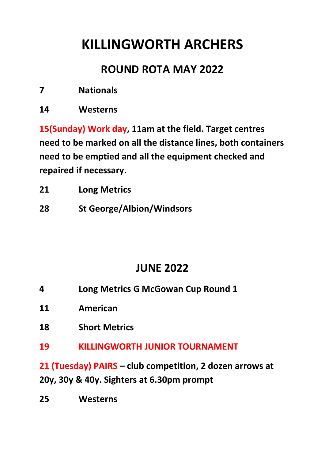## **KILLINGWORTH ARCHERS**

## **ROUND ROTA MAY 2022**

- **7 Nationals**
- **14 Westerns**

**15(Sunday) Work day, 11am at the field. Target centres need to be marked on all the distance lines, both containers need to be emptied and all the equipment checked and repaired if necessary.**

| 21<br><b>Long Metrics</b> |
|---------------------------|
|---------------------------|

**28 St George/Albion/Windsors**

## **JUNE 2022**

- **4 Long Metrics G McGowan Cup Round 1**
- **11 American**
- **18 Short Metrics**
- **19 KILLINGWORTH JUNIOR TOURNAMENT**

**21 (Tuesday) PAIRS – club competition, 2 dozen arrows at 20y, 30y & 40y. Sighters at 6.30pm prompt**

**25 Westerns**